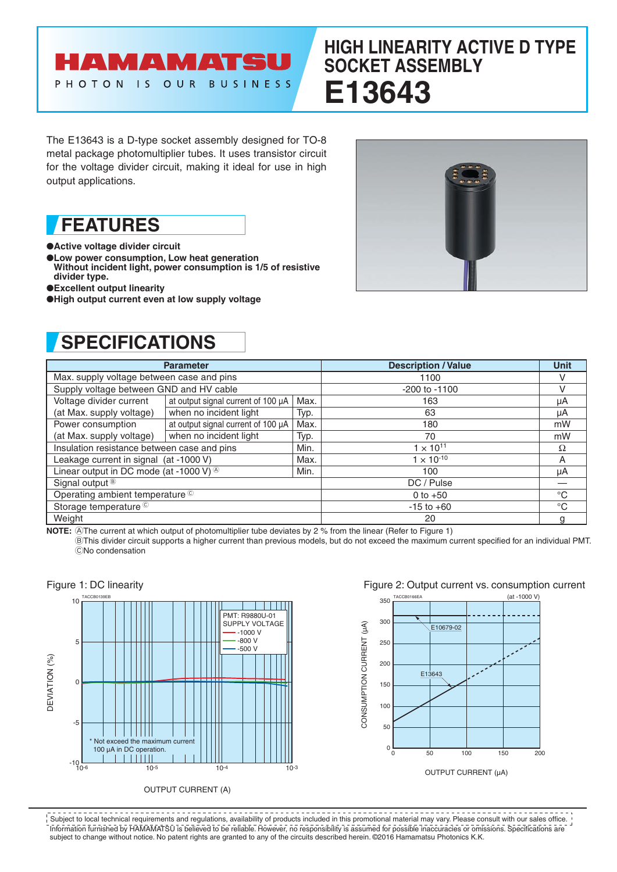

# **HIGH LINEARITY ACTIVE D TYPE SOCKET ASSEMBLY E13643**

The E13643 is a D-type socket assembly designed for TO-8 metal package photomultiplier tubes. It uses transistor circuit for the voltage divider circuit, making it ideal for use in high output applications.

**FEATURES**

●**Active voltage divider circuit**

- ●**Low power consumption, Low heat generation**
- **Without incident light, power consumption is 1/5 of resistive divider type.**
- ●**Excellent output linearity**
- ●**High output current even at low supply voltage**



## **SPECIFICATIONS**

| <b>Parameter</b>                                        |                                    |      | <b>Description / Value</b> | <b>Unit</b>  |
|---------------------------------------------------------|------------------------------------|------|----------------------------|--------------|
| Max. supply voltage between case and pins               |                                    |      | 1100                       |              |
| Supply voltage between GND and HV cable                 |                                    |      | $-200$ to $-1100$          | v            |
| Voltage divider current                                 | at output signal current of 100 µA | Max. | 163                        | μA           |
| (at Max. supply voltage)                                | when no incident light             | Typ. | 63                         | μA           |
| Power consumption                                       | at output signal current of 100 µA | Max. | 180                        | mW           |
| (at Max. supply voltage)                                | when no incident light             | Typ. | 70                         | mW           |
| Insulation resistance between case and pins             |                                    | Min. | $1 \times 10^{11}$         | Ω            |
| Leakage current in signal (at -1000 V)                  |                                    | Max. | $1 \times 10^{-10}$        | A            |
| Linear output in DC mode (at -1000 V) $\textcircled{8}$ |                                    | Min. | 100                        | μA           |
| Signal output <sup>®</sup>                              |                                    |      | DC / Pulse                 |              |
| Operating ambient temperature ©                         |                                    |      | 0 to $+50$                 | $^{\circ}C$  |
| Storage temperature <sup>C</sup>                        |                                    |      | $-15$ to $+60$             | $^{\circ}$ C |
| Weight                                                  |                                    |      | 20                         |              |

**NOTE:** @The current at which output of photomultiplier tube deviates by 2 % from the linear (Refer to Figure 1) BThis divider circuit supports a higher current than previous models, but do not exceed the maximum current specified for an individual PMT. CNo condensation









Information furnished by HAMAMATSU is believed to be reliable. However, no responsibility is assumed for possible inaccuracies or omissions. Specifications are subject to change without notice. No patent rights are granted to any of the circuits described herein. ©2016 Hamamatsu Photonics K.K. Subject to local technical requirements and regulations, availability of products included in this promotional material may vary. Please consult with our sales office.